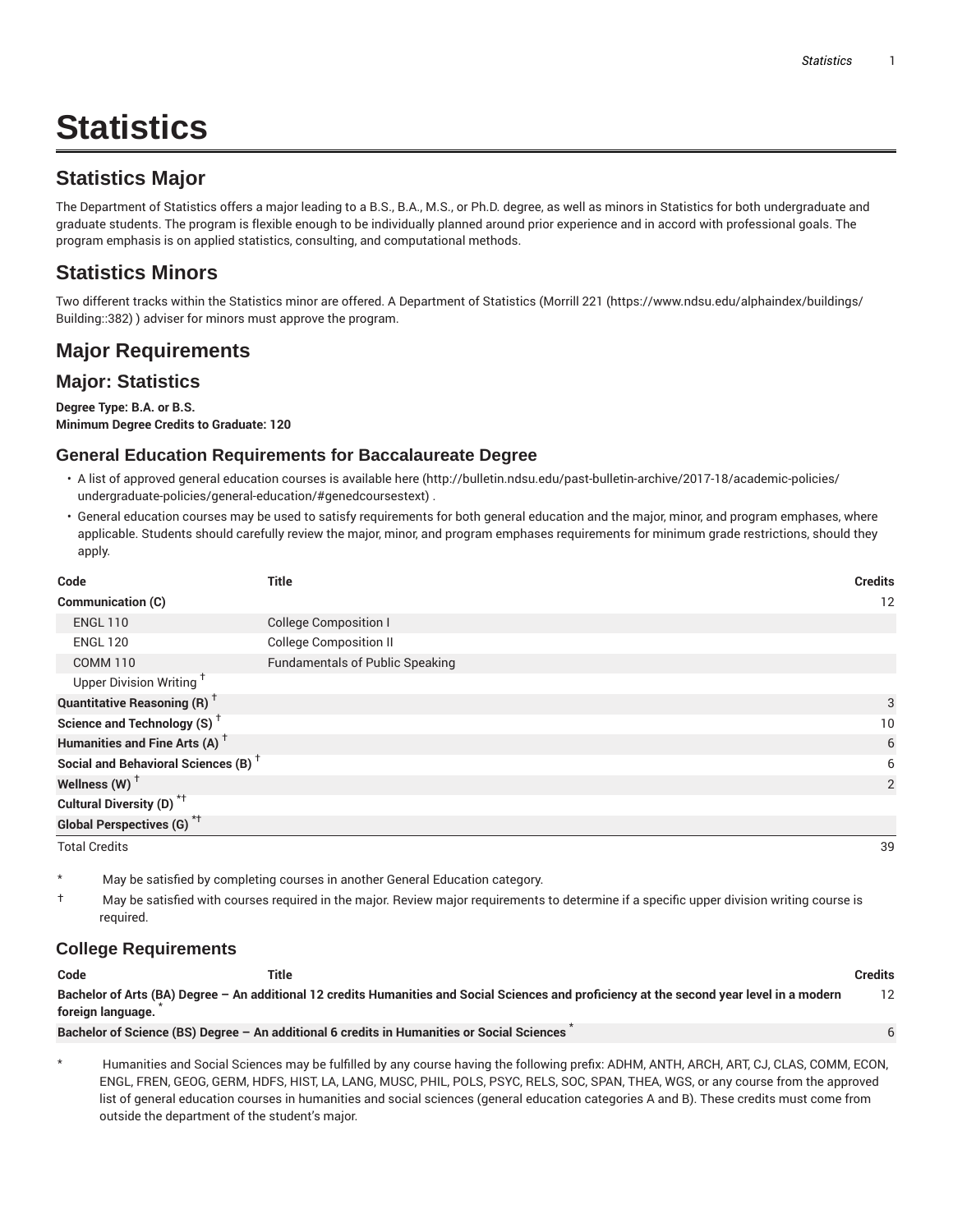# **Statistics**

### **Statistics Major**

The Department of Statistics offers a major leading to a B.S., B.A., M.S., or Ph.D. degree, as well as minors in Statistics for both undergraduate and graduate students. The program is flexible enough to be individually planned around prior experience and in accord with professional goals. The program emphasis is on applied statistics, consulting, and computational methods.

### **Statistics Minors**

Two different tracks within the Statistics minor are offered. A Department of Statistics (Morrill 221 (https://www.ndsu.edu/alphaindex/buildings/ Building::382) ) adviser for minors must approve the program.

### **Major Requirements**

#### **Major: Statistics**

#### **Degree Type: B.A. or B.S. Minimum Degree Credits to Graduate: 120**

#### **General Education Requirements for Baccalaureate Degree**

- A list of approved general education courses is available here (http://bulletin.ndsu.edu/past-bulletin-archive/2017-18/academic-policies/ undergraduate-policies/general-education/#genedcoursestext) .
- General education courses may be used to satisfy requirements for both general education and the major, minor, and program emphases, where applicable. Students should carefully review the major, minor, and program emphases requirements for minimum grade restrictions, should they apply.

| Code                                            | <b>Title</b>                           | <b>Credits</b> |
|-------------------------------------------------|----------------------------------------|----------------|
| Communication (C)                               |                                        | 12             |
| <b>ENGL 110</b>                                 | <b>College Composition I</b>           |                |
| <b>ENGL 120</b>                                 | <b>College Composition II</b>          |                |
| <b>COMM 110</b>                                 | <b>Fundamentals of Public Speaking</b> |                |
| Upper Division Writing <sup>+</sup>             |                                        |                |
| <b>Quantitative Reasoning (R)</b> <sup>†</sup>  |                                        | 3              |
| Science and Technology (S) <sup>+</sup>         |                                        | 10             |
| Humanities and Fine Arts (A) <sup>+</sup>       |                                        | 6              |
| Social and Behavioral Sciences (B) <sup>+</sup> |                                        | 6              |
| Wellness $(W)$ <sup>+</sup>                     |                                        | 2              |
| Cultural Diversity (D) <sup>*†</sup>            |                                        |                |
| <b>Global Perspectives (G)</b> <sup>*†</sup>    |                                        |                |
| <b>Total Credits</b>                            |                                        | 39             |

- May be satisfied by completing courses in another General Education category.
- † May be satisfied with courses required in the major. Review major requirements to determine if a specific upper division writing course is required.

#### **College Requirements**

| Code              | Title                                                                                      |                                                                                                                                             | <b>Credits</b>  |
|-------------------|--------------------------------------------------------------------------------------------|---------------------------------------------------------------------------------------------------------------------------------------------|-----------------|
| foreign language. |                                                                                            | Bachelor of Arts (BA) Degree - An additional 12 credits Humanities and Social Sciences and proficiency at the second year level in a modern | 12 <sup>2</sup> |
|                   | Bachelor of Science (BS) Degree - An additional 6 credits in Humanities or Social Sciences |                                                                                                                                             |                 |
|                   |                                                                                            |                                                                                                                                             |                 |

\* Humanities and Social Sciences may be fulfilled by any course having the following prefix: ADHM, ANTH, ARCH, ART, CJ, CLAS, COMM, ECON, ENGL, FREN, GEOG, GERM, HDFS, HIST, LA, LANG, MUSC, PHIL, POLS, PSYC, RELS, SOC, SPAN, THEA, WGS, or any course from the approved list of general education courses in humanities and social sciences (general education categories A and B). These credits must come from outside the department of the student's major.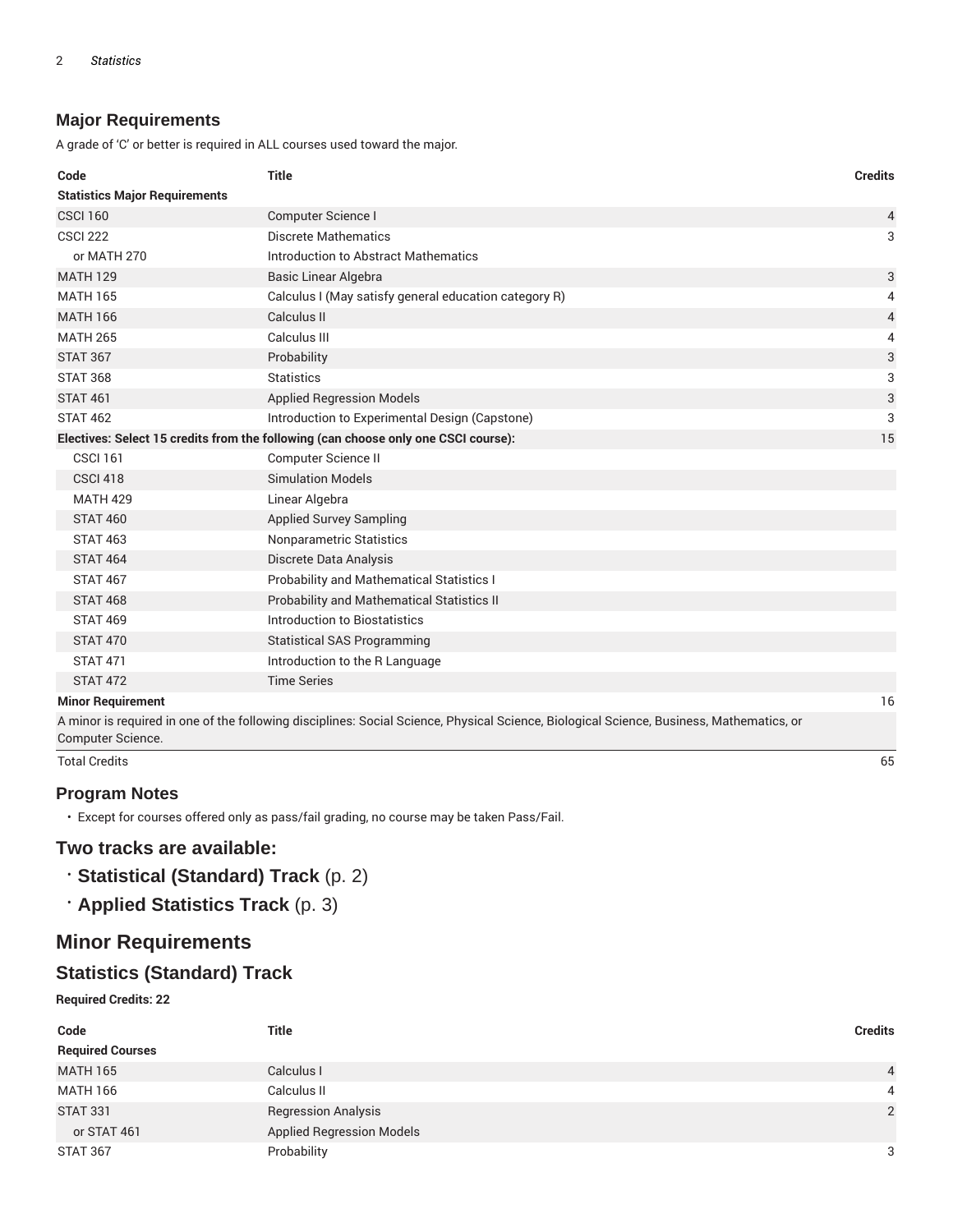#### **Major Requirements**

A grade of 'C' or better is required in ALL courses used toward the major.

| Code                                 | <b>Title</b>                                                                       | <b>Credits</b> |
|--------------------------------------|------------------------------------------------------------------------------------|----------------|
| <b>Statistics Major Requirements</b> |                                                                                    |                |
| <b>CSCI 160</b>                      | Computer Science I                                                                 | 4              |
| <b>CSCI 222</b>                      | Discrete Mathematics                                                               | 3              |
| or MATH 270                          | Introduction to Abstract Mathematics                                               |                |
| <b>MATH 129</b>                      | <b>Basic Linear Algebra</b>                                                        | 3              |
| <b>MATH 165</b>                      | Calculus I (May satisfy general education category R)                              | 4              |
| <b>MATH 166</b>                      | Calculus II                                                                        | $\overline{4}$ |
| <b>MATH 265</b>                      | Calculus III                                                                       | 4              |
| <b>STAT 367</b>                      | Probability                                                                        | 3              |
| <b>STAT 368</b>                      | <b>Statistics</b>                                                                  | 3              |
| <b>STAT 461</b>                      | <b>Applied Regression Models</b>                                                   | 3              |
| <b>STAT 462</b>                      | Introduction to Experimental Design (Capstone)                                     | 3              |
|                                      | Electives: Select 15 credits from the following (can choose only one CSCI course): | 15             |
| <b>CSCI 161</b>                      | Computer Science II                                                                |                |
| <b>CSCI 418</b>                      | <b>Simulation Models</b>                                                           |                |
| <b>MATH 429</b>                      | Linear Algebra                                                                     |                |
| <b>STAT 460</b>                      | <b>Applied Survey Sampling</b>                                                     |                |
| <b>STAT 463</b>                      | Nonparametric Statistics                                                           |                |
| <b>STAT 464</b>                      | Discrete Data Analysis                                                             |                |
| <b>STAT 467</b>                      | <b>Probability and Mathematical Statistics I</b>                                   |                |
| <b>STAT 468</b>                      | Probability and Mathematical Statistics II                                         |                |
| <b>STAT 469</b>                      | Introduction to Biostatistics                                                      |                |
| <b>STAT 470</b>                      | <b>Statistical SAS Programming</b>                                                 |                |
| <b>STAT 471</b>                      | Introduction to the R Language                                                     |                |
| <b>STAT 472</b>                      | <b>Time Series</b>                                                                 |                |
| <b>Minor Requirement</b>             |                                                                                    | 16             |
|                                      |                                                                                    |                |

A minor is required in one of the following disciplines: Social Science, Physical Science, Biological Science, Business, Mathematics, or Computer Science.

Total Credits 65

#### **Program Notes**

• Except for courses offered only as pass/fail grading, no course may be taken Pass/Fail.

#### **Two tracks are available:**

- **Statistical (Standard) Track** (p. 2)
- **Applied Statistics Track** (p. 3)

### **Minor Requirements**

### **Statistics (Standard) Track**

**Required Credits: 22**

| Code                    | <b>Title</b>                     | <b>Credits</b> |
|-------------------------|----------------------------------|----------------|
| <b>Required Courses</b> |                                  |                |
| <b>MATH 165</b>         | Calculus I                       | $\overline{4}$ |
| <b>MATH 166</b>         | Calculus II                      | 4              |
| <b>STAT 331</b>         | <b>Regression Analysis</b>       | 2              |
| or STAT 461             | <b>Applied Regression Models</b> |                |
| STAT 367                | Probability                      | 3              |